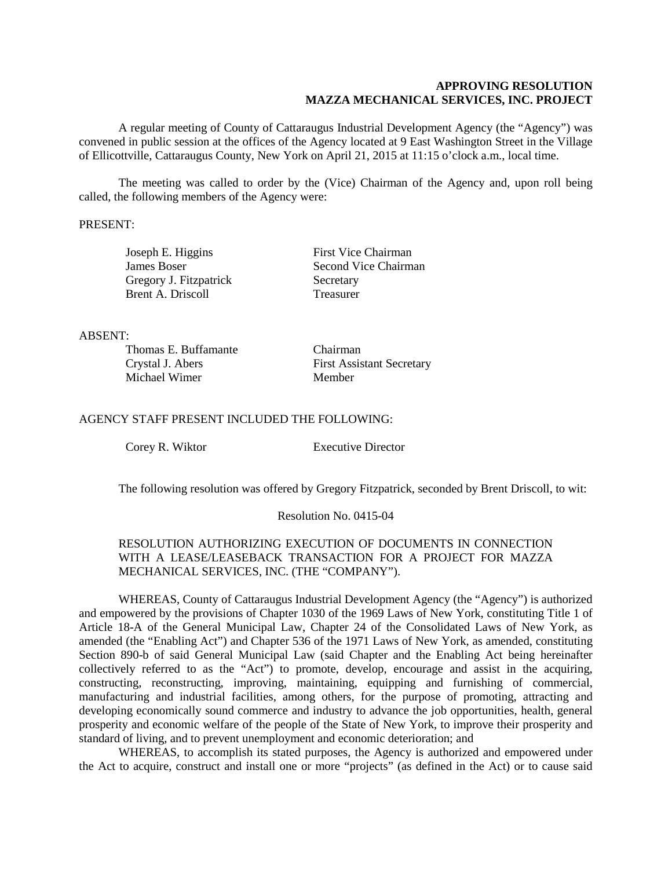## **APPROVING RESOLUTION MAZZA MECHANICAL SERVICES, INC. PROJECT**

A regular meeting of County of Cattaraugus Industrial Development Agency (the "Agency") was convened in public session at the offices of the Agency located at 9 East Washington Street in the Village of Ellicottville, Cattaraugus County, New York on April 21, 2015 at 11:15 o'clock a.m., local time.

The meeting was called to order by the (Vice) Chairman of the Agency and, upon roll being called, the following members of the Agency were:

### PRESENT:

Gregory J. Fitzpatrick Secretary Brent A. Driscoll Treasurer

Joseph E. Higgins First Vice Chairman **James Boser** Second Vice Chairman

#### ABSENT:

| Thomas E. Buffamante | Chairman                         |
|----------------------|----------------------------------|
| Crystal J. Abers     | <b>First Assistant Secretary</b> |
| Michael Wimer        | Member                           |

### AGENCY STAFF PRESENT INCLUDED THE FOLLOWING:

Corey R. Wiktor Executive Director

The following resolution was offered by Gregory Fitzpatrick, seconded by Brent Driscoll, to wit:

#### Resolution No. 0415-04

## RESOLUTION AUTHORIZING EXECUTION OF DOCUMENTS IN CONNECTION WITH A LEASE/LEASEBACK TRANSACTION FOR A PROJECT FOR MAZZA MECHANICAL SERVICES, INC. (THE "COMPANY").

WHEREAS, County of Cattaraugus Industrial Development Agency (the "Agency") is authorized and empowered by the provisions of Chapter 1030 of the 1969 Laws of New York, constituting Title 1 of Article 18-A of the General Municipal Law, Chapter 24 of the Consolidated Laws of New York, as amended (the "Enabling Act") and Chapter 536 of the 1971 Laws of New York, as amended, constituting Section 890-b of said General Municipal Law (said Chapter and the Enabling Act being hereinafter collectively referred to as the "Act") to promote, develop, encourage and assist in the acquiring, constructing, reconstructing, improving, maintaining, equipping and furnishing of commercial, manufacturing and industrial facilities, among others, for the purpose of promoting, attracting and developing economically sound commerce and industry to advance the job opportunities, health, general prosperity and economic welfare of the people of the State of New York, to improve their prosperity and standard of living, and to prevent unemployment and economic deterioration; and

WHEREAS, to accomplish its stated purposes, the Agency is authorized and empowered under the Act to acquire, construct and install one or more "projects" (as defined in the Act) or to cause said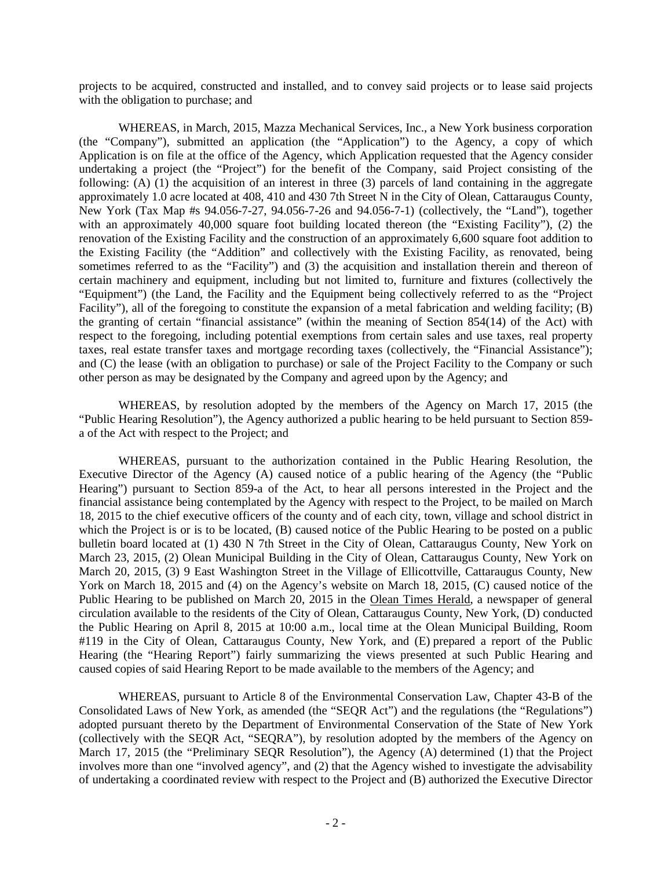projects to be acquired, constructed and installed, and to convey said projects or to lease said projects with the obligation to purchase; and

WHEREAS, in March, 2015, Mazza Mechanical Services, Inc., a New York business corporation (the "Company"), submitted an application (the "Application") to the Agency, a copy of which Application is on file at the office of the Agency, which Application requested that the Agency consider undertaking a project (the "Project") for the benefit of the Company, said Project consisting of the following: (A) (1) the acquisition of an interest in three (3) parcels of land containing in the aggregate approximately 1.0 acre located at 408, 410 and 430 7th Street N in the City of Olean, Cattaraugus County, New York (Tax Map #s 94.056-7-27, 94.056-7-26 and 94.056-7-1) (collectively, the "Land"), together with an approximately 40,000 square foot building located thereon (the "Existing Facility"), (2) the renovation of the Existing Facility and the construction of an approximately 6,600 square foot addition to the Existing Facility (the "Addition" and collectively with the Existing Facility, as renovated, being sometimes referred to as the "Facility") and (3) the acquisition and installation therein and thereon of certain machinery and equipment, including but not limited to, furniture and fixtures (collectively the "Equipment") (the Land, the Facility and the Equipment being collectively referred to as the "Project Facility"), all of the foregoing to constitute the expansion of a metal fabrication and welding facility; (B) the granting of certain "financial assistance" (within the meaning of Section 854(14) of the Act) with respect to the foregoing, including potential exemptions from certain sales and use taxes, real property taxes, real estate transfer taxes and mortgage recording taxes (collectively, the "Financial Assistance"); and (C) the lease (with an obligation to purchase) or sale of the Project Facility to the Company or such other person as may be designated by the Company and agreed upon by the Agency; and

WHEREAS, by resolution adopted by the members of the Agency on March 17, 2015 (the "Public Hearing Resolution"), the Agency authorized a public hearing to be held pursuant to Section 859 a of the Act with respect to the Project; and

WHEREAS, pursuant to the authorization contained in the Public Hearing Resolution, the Executive Director of the Agency (A) caused notice of a public hearing of the Agency (the "Public Hearing") pursuant to Section 859-a of the Act, to hear all persons interested in the Project and the financial assistance being contemplated by the Agency with respect to the Project, to be mailed on March 18, 2015 to the chief executive officers of the county and of each city, town, village and school district in which the Project is or is to be located, (B) caused notice of the Public Hearing to be posted on a public bulletin board located at (1) 430 N 7th Street in the City of Olean, Cattaraugus County, New York on March 23, 2015, (2) Olean Municipal Building in the City of Olean, Cattaraugus County, New York on March 20, 2015, (3) 9 East Washington Street in the Village of Ellicottville, Cattaraugus County, New York on March 18, 2015 and (4) on the Agency's website on March 18, 2015, (C) caused notice of the Public Hearing to be published on March 20, 2015 in the Olean Times Herald, a newspaper of general circulation available to the residents of the City of Olean, Cattaraugus County, New York, (D) conducted the Public Hearing on April 8, 2015 at 10:00 a.m., local time at the Olean Municipal Building, Room #119 in the City of Olean, Cattaraugus County, New York, and (E) prepared a report of the Public Hearing (the "Hearing Report") fairly summarizing the views presented at such Public Hearing and caused copies of said Hearing Report to be made available to the members of the Agency; and

WHEREAS, pursuant to Article 8 of the Environmental Conservation Law, Chapter 43-B of the Consolidated Laws of New York, as amended (the "SEQR Act") and the regulations (the "Regulations") adopted pursuant thereto by the Department of Environmental Conservation of the State of New York (collectively with the SEQR Act, "SEQRA"), by resolution adopted by the members of the Agency on March 17, 2015 (the "Preliminary SEQR Resolution"), the Agency (A) determined (1) that the Project involves more than one "involved agency", and (2) that the Agency wished to investigate the advisability of undertaking a coordinated review with respect to the Project and (B) authorized the Executive Director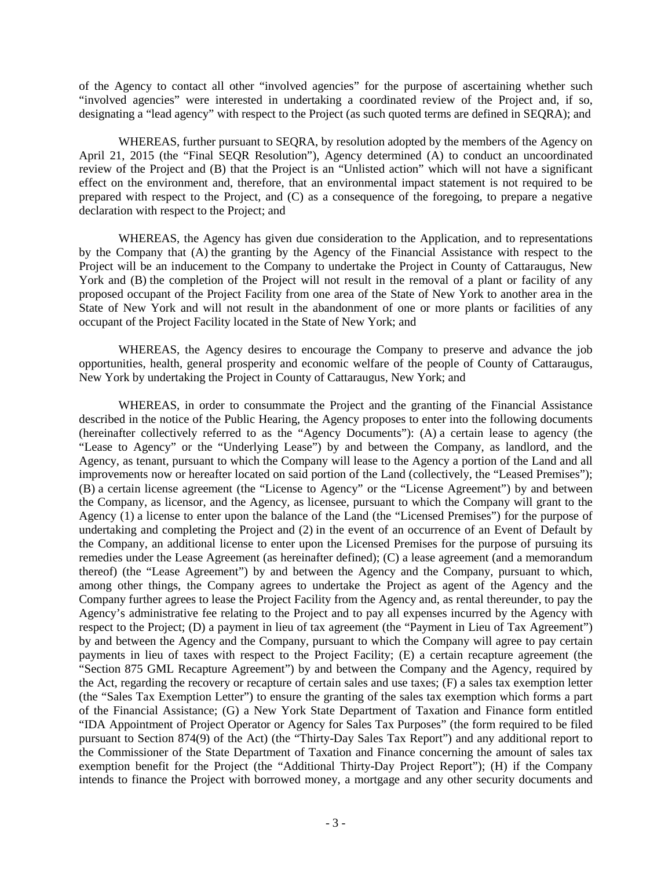of the Agency to contact all other "involved agencies" for the purpose of ascertaining whether such "involved agencies" were interested in undertaking a coordinated review of the Project and, if so, designating a "lead agency" with respect to the Project (as such quoted terms are defined in SEQRA); and

WHEREAS, further pursuant to SEORA, by resolution adopted by the members of the Agency on April 21, 2015 (the "Final SEQR Resolution"), Agency determined (A) to conduct an uncoordinated review of the Project and (B) that the Project is an "Unlisted action" which will not have a significant effect on the environment and, therefore, that an environmental impact statement is not required to be prepared with respect to the Project, and (C) as a consequence of the foregoing, to prepare a negative declaration with respect to the Project; and

WHEREAS, the Agency has given due consideration to the Application, and to representations by the Company that (A) the granting by the Agency of the Financial Assistance with respect to the Project will be an inducement to the Company to undertake the Project in County of Cattaraugus, New York and (B) the completion of the Project will not result in the removal of a plant or facility of any proposed occupant of the Project Facility from one area of the State of New York to another area in the State of New York and will not result in the abandonment of one or more plants or facilities of any occupant of the Project Facility located in the State of New York; and

WHEREAS, the Agency desires to encourage the Company to preserve and advance the job opportunities, health, general prosperity and economic welfare of the people of County of Cattaraugus, New York by undertaking the Project in County of Cattaraugus, New York; and

WHEREAS, in order to consummate the Project and the granting of the Financial Assistance described in the notice of the Public Hearing, the Agency proposes to enter into the following documents (hereinafter collectively referred to as the "Agency Documents"): (A) a certain lease to agency (the "Lease to Agency" or the "Underlying Lease") by and between the Company, as landlord, and the Agency, as tenant, pursuant to which the Company will lease to the Agency a portion of the Land and all improvements now or hereafter located on said portion of the Land (collectively, the "Leased Premises"); (B) a certain license agreement (the "License to Agency" or the "License Agreement") by and between the Company, as licensor, and the Agency, as licensee, pursuant to which the Company will grant to the Agency (1) a license to enter upon the balance of the Land (the "Licensed Premises") for the purpose of undertaking and completing the Project and (2) in the event of an occurrence of an Event of Default by the Company, an additional license to enter upon the Licensed Premises for the purpose of pursuing its remedies under the Lease Agreement (as hereinafter defined); (C) a lease agreement (and a memorandum thereof) (the "Lease Agreement") by and between the Agency and the Company, pursuant to which, among other things, the Company agrees to undertake the Project as agent of the Agency and the Company further agrees to lease the Project Facility from the Agency and, as rental thereunder, to pay the Agency's administrative fee relating to the Project and to pay all expenses incurred by the Agency with respect to the Project; (D) a payment in lieu of tax agreement (the "Payment in Lieu of Tax Agreement") by and between the Agency and the Company, pursuant to which the Company will agree to pay certain payments in lieu of taxes with respect to the Project Facility; (E) a certain recapture agreement (the "Section 875 GML Recapture Agreement") by and between the Company and the Agency, required by the Act, regarding the recovery or recapture of certain sales and use taxes; (F) a sales tax exemption letter (the "Sales Tax Exemption Letter") to ensure the granting of the sales tax exemption which forms a part of the Financial Assistance; (G) a New York State Department of Taxation and Finance form entitled "IDA Appointment of Project Operator or Agency for Sales Tax Purposes" (the form required to be filed pursuant to Section 874(9) of the Act) (the "Thirty-Day Sales Tax Report") and any additional report to the Commissioner of the State Department of Taxation and Finance concerning the amount of sales tax exemption benefit for the Project (the "Additional Thirty-Day Project Report"); (H) if the Company intends to finance the Project with borrowed money, a mortgage and any other security documents and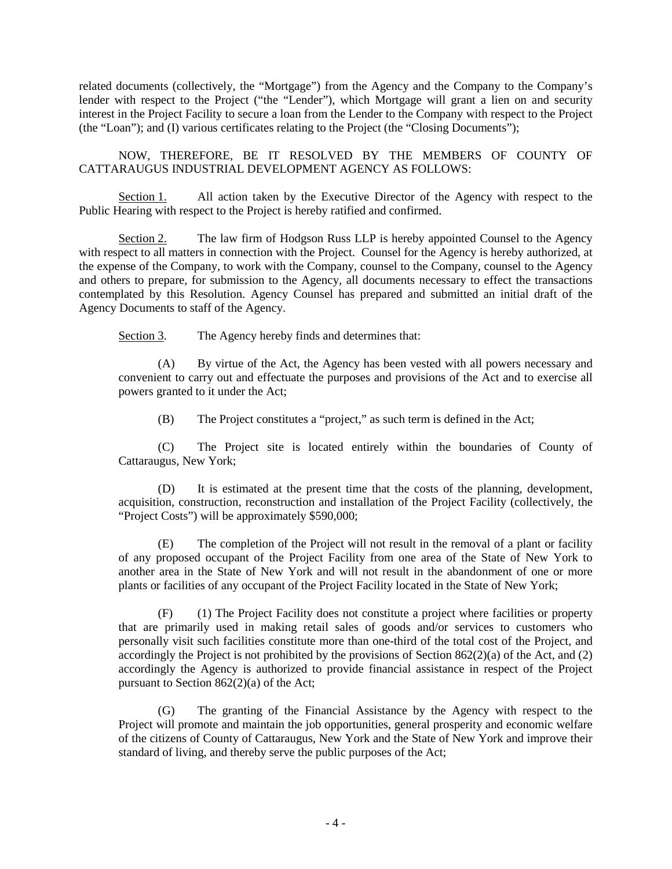related documents (collectively, the "Mortgage") from the Agency and the Company to the Company's lender with respect to the Project ("the "Lender"), which Mortgage will grant a lien on and security interest in the Project Facility to secure a loan from the Lender to the Company with respect to the Project (the "Loan"); and (I) various certificates relating to the Project (the "Closing Documents");

NOW, THEREFORE, BE IT RESOLVED BY THE MEMBERS OF COUNTY OF CATTARAUGUS INDUSTRIAL DEVELOPMENT AGENCY AS FOLLOWS:

Section 1. All action taken by the Executive Director of the Agency with respect to the Public Hearing with respect to the Project is hereby ratified and confirmed.

Section 2. The law firm of Hodgson Russ LLP is hereby appointed Counsel to the Agency with respect to all matters in connection with the Project. Counsel for the Agency is hereby authorized, at the expense of the Company, to work with the Company, counsel to the Company, counsel to the Agency and others to prepare, for submission to the Agency, all documents necessary to effect the transactions contemplated by this Resolution. Agency Counsel has prepared and submitted an initial draft of the Agency Documents to staff of the Agency.

Section 3. The Agency hereby finds and determines that:

(A) By virtue of the Act, the Agency has been vested with all powers necessary and convenient to carry out and effectuate the purposes and provisions of the Act and to exercise all powers granted to it under the Act;

(B) The Project constitutes a "project," as such term is defined in the Act;

(C) The Project site is located entirely within the boundaries of County of Cattaraugus, New York;

(D) It is estimated at the present time that the costs of the planning, development, acquisition, construction, reconstruction and installation of the Project Facility (collectively, the "Project Costs") will be approximately \$590,000;

(E) The completion of the Project will not result in the removal of a plant or facility of any proposed occupant of the Project Facility from one area of the State of New York to another area in the State of New York and will not result in the abandonment of one or more plants or facilities of any occupant of the Project Facility located in the State of New York;

(F) (1) The Project Facility does not constitute a project where facilities or property that are primarily used in making retail sales of goods and/or services to customers who personally visit such facilities constitute more than one-third of the total cost of the Project, and accordingly the Project is not prohibited by the provisions of Section  $862(2)(a)$  of the Act, and (2) accordingly the Agency is authorized to provide financial assistance in respect of the Project pursuant to Section 862(2)(a) of the Act;

(G) The granting of the Financial Assistance by the Agency with respect to the Project will promote and maintain the job opportunities, general prosperity and economic welfare of the citizens of County of Cattaraugus, New York and the State of New York and improve their standard of living, and thereby serve the public purposes of the Act;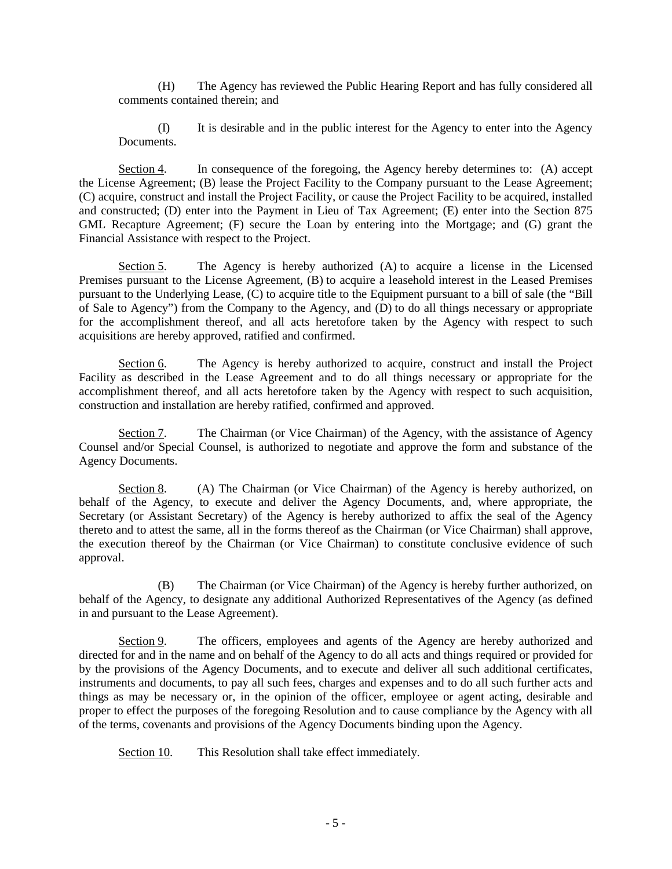(H) The Agency has reviewed the Public Hearing Report and has fully considered all comments contained therein; and

(I) It is desirable and in the public interest for the Agency to enter into the Agency Documents.

Section 4. In consequence of the foregoing, the Agency hereby determines to: (A) accept the License Agreement; (B) lease the Project Facility to the Company pursuant to the Lease Agreement; (C) acquire, construct and install the Project Facility, or cause the Project Facility to be acquired, installed and constructed; (D) enter into the Payment in Lieu of Tax Agreement; (E) enter into the Section 875 GML Recapture Agreement; (F) secure the Loan by entering into the Mortgage; and (G) grant the Financial Assistance with respect to the Project.

Section 5. The Agency is hereby authorized (A) to acquire a license in the Licensed Premises pursuant to the License Agreement, (B) to acquire a leasehold interest in the Leased Premises pursuant to the Underlying Lease, (C) to acquire title to the Equipment pursuant to a bill of sale (the "Bill of Sale to Agency") from the Company to the Agency, and (D) to do all things necessary or appropriate for the accomplishment thereof, and all acts heretofore taken by the Agency with respect to such acquisitions are hereby approved, ratified and confirmed.

Section 6. The Agency is hereby authorized to acquire, construct and install the Project Facility as described in the Lease Agreement and to do all things necessary or appropriate for the accomplishment thereof, and all acts heretofore taken by the Agency with respect to such acquisition, construction and installation are hereby ratified, confirmed and approved.

Section 7. The Chairman (or Vice Chairman) of the Agency, with the assistance of Agency Counsel and/or Special Counsel, is authorized to negotiate and approve the form and substance of the Agency Documents.

Section 8. (A) The Chairman (or Vice Chairman) of the Agency is hereby authorized, on behalf of the Agency, to execute and deliver the Agency Documents, and, where appropriate, the Secretary (or Assistant Secretary) of the Agency is hereby authorized to affix the seal of the Agency thereto and to attest the same, all in the forms thereof as the Chairman (or Vice Chairman) shall approve, the execution thereof by the Chairman (or Vice Chairman) to constitute conclusive evidence of such approval.

(B) The Chairman (or Vice Chairman) of the Agency is hereby further authorized, on behalf of the Agency, to designate any additional Authorized Representatives of the Agency (as defined in and pursuant to the Lease Agreement).

Section 9. The officers, employees and agents of the Agency are hereby authorized and directed for and in the name and on behalf of the Agency to do all acts and things required or provided for by the provisions of the Agency Documents, and to execute and deliver all such additional certificates, instruments and documents, to pay all such fees, charges and expenses and to do all such further acts and things as may be necessary or, in the opinion of the officer, employee or agent acting, desirable and proper to effect the purposes of the foregoing Resolution and to cause compliance by the Agency with all of the terms, covenants and provisions of the Agency Documents binding upon the Agency.

Section 10. This Resolution shall take effect immediately.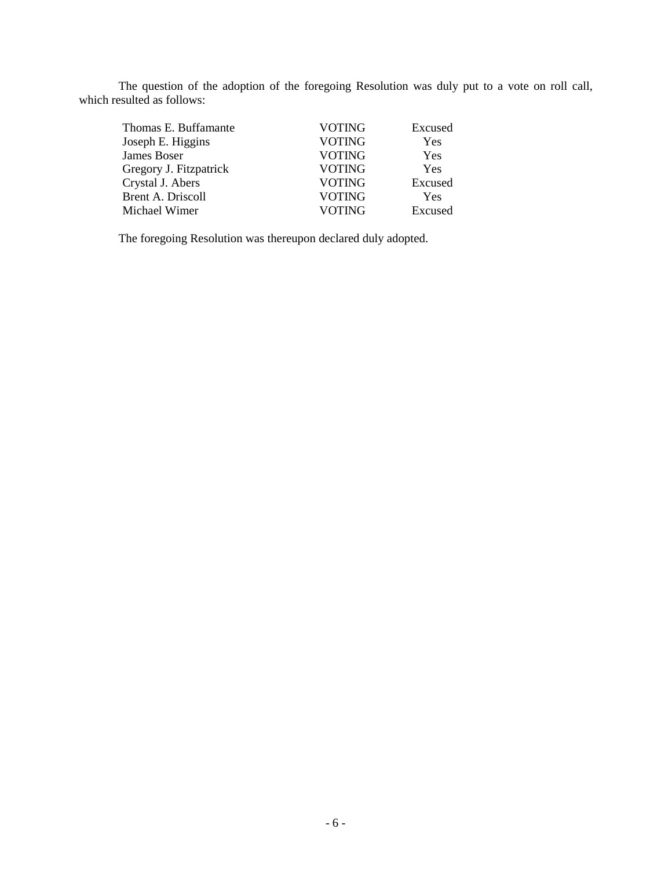The question of the adoption of the foregoing Resolution was duly put to a vote on roll call, which resulted as follows:

| Thomas E. Buffamante   | <b>VOTING</b> | Excused    |
|------------------------|---------------|------------|
| Joseph E. Higgins      | <b>VOTING</b> | Yes        |
| James Boser            | <b>VOTING</b> | Yes        |
| Gregory J. Fitzpatrick | <b>VOTING</b> | Yes        |
| Crystal J. Abers       | <b>VOTING</b> | Excused    |
| Brent A. Driscoll      | <b>VOTING</b> | <b>Yes</b> |
| Michael Wimer          | <b>VOTING</b> | Excused    |
|                        |               |            |

The foregoing Resolution was thereupon declared duly adopted.